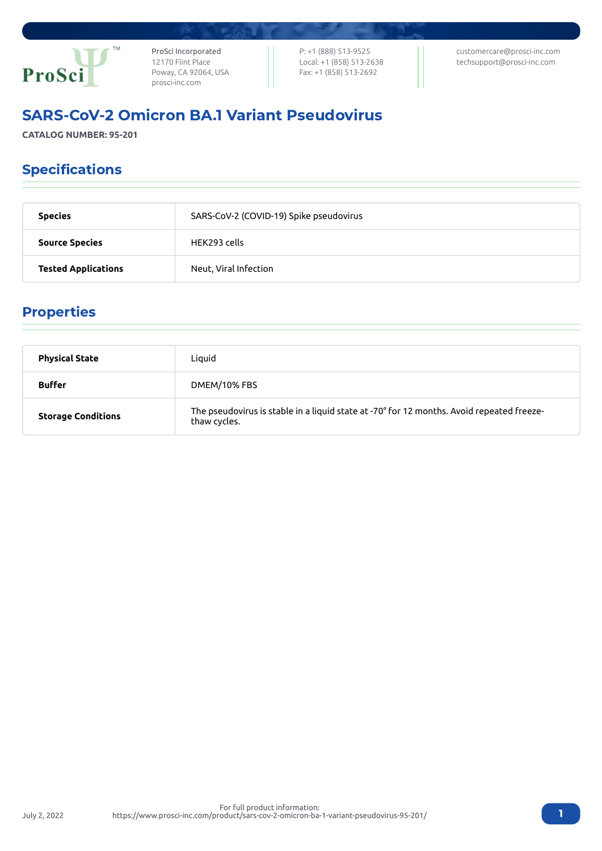

ProSci Incorporated 12170 Flint Place Poway, CA 92064, USA [prosci-inc.com](https://prosci-inc.com/)

P: +1 (888) 513-9525 Local: +1 (858) 513-2638 Fax: +1 (858) 513-2692

[customercare@prosci-inc.com](mailto:customercare@prosci-inc.com) [techsupport@prosci-inc.com](mailto:techsupport@prosci-inc.com)

# SARS-CoV-2 Omicron BA.1 Variant Pseudovirus

**CATALOG NUMBER: 95-201**

## Specifications

| <b>Species</b>             | SARS-CoV-2 (COVID-19) Spike pseudovirus |  |
|----------------------------|-----------------------------------------|--|
| <b>Source Species</b>      | HEK293 cells                            |  |
| <b>Tested Applications</b> | Neut, Viral Infection                   |  |

## Properties

| <b>Physical State</b>     | Liquid                                                                                                    |
|---------------------------|-----------------------------------------------------------------------------------------------------------|
| <b>Buffer</b>             | DMEM/10% FBS                                                                                              |
| <b>Storage Conditions</b> | The pseudovirus is stable in a liquid state at -70° for 12 months. Avoid repeated freeze-<br>thaw cycles. |